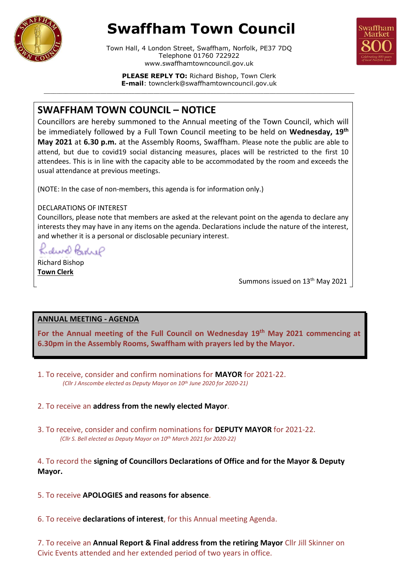

# **Swaffham Town Council**





**PLEASE REPLY TO:** Richard Bishop, Town Clerk **E-mail**: townclerk@swaffhamtowncouncil.gov.uk  $\_$  ,  $\_$  ,  $\_$  ,  $\_$  ,  $\_$  ,  $\_$  ,  $\_$  ,  $\_$  ,  $\_$  ,  $\_$  ,  $\_$  ,  $\_$  ,  $\_$  ,  $\_$  ,  $\_$  ,  $\_$  ,  $\_$  ,  $\_$  ,  $\_$  ,  $\_$  ,  $\_$  ,  $\_$  ,  $\_$  ,  $\_$  ,  $\_$  ,  $\_$  ,  $\_$  ,  $\_$  ,  $\_$  ,  $\_$  ,  $\_$  ,  $\_$  ,  $\_$  ,  $\_$  ,  $\_$  ,  $\_$  ,  $\_$  ,

# **SWAFFHAM TOWN COUNCIL – NOTICE**

Councillors are hereby summoned to the Annual meeting of the Town Council, which will be immediately followed by a Full Town Council meeting to be held on **Wednesday, 19th May 2021** at **6.30 p.m.** at the Assembly Rooms, Swaffham. Please note the public are able to attend, but due to covid19 social distancing measures, places will be restricted to the first 10 attendees. This is in line with the capacity able to be accommodated by the room and exceeds the usual attendance at previous meetings.

(NOTE: In the case of non-members, this agenda is for information only.)

### DECLARATIONS OF INTEREST

Councillors, please note that members are asked at the relevant point on the agenda to declare any interests they may have in any items on the agenda. Declarations include the nature of the interest, and whether it is a personal or disclosable pecuniary interest.

dive karip

Richard Bishop **Town Clerk**

I

Summons issued on 13<sup>th</sup> May 2021

## **ANNUAL MEETING - AGENDA**

**For the Annual meeting of the Full Council on Wednesday 19th May 2021 commencing at 6.30pm in the Assembly Rooms, Swaffham with prayers led by the Mayor.** 

- 1. To receive, consider and confirm nominations for **MAYOR** for 2021-22. *(Cllr J Anscombe elected as Deputy Mayor on 10th June 2020 for 2020-21)*
- 2. To receive an **address from the newly elected Mayor**.
- 3. To receive, consider and confirm nominations for **DEPUTY MAYOR** for 2021-22.  *(Cllr S. Bell elected as Deputy Mayor on 10th March 2021 for 2020-22)*

4. To record the **signing of Councillors Declarations of Office and for the Mayor & Deputy Mayor.**

- 5. To receive **APOLOGIES and reasons for absence**.
- 6. To receive **declarations of interest**, for this Annual meeting Agenda.

7. To receive an **Annual Report & Final address from the retiring Mayor** Cllr Jill Skinner on Civic Events attended and her extended period of two years in office.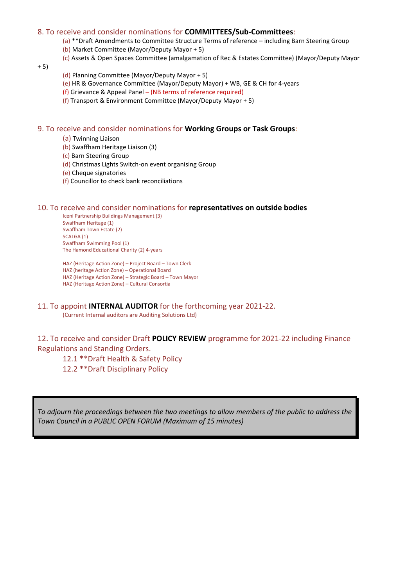#### 8. To receive and consider nominations for **COMMITTEES/Sub-Committees**:

(a) \*\*Draft Amendments to Committee Structure Terms of reference – including Barn Steering Group

- (b) Market Committee (Mayor/Deputy Mayor + 5)
- (c) Assets & Open Spaces Committee (amalgamation of Rec & Estates Committee) (Mayor/Deputy Mayor

+ 5)

- (d) Planning Committee (Mayor/Deputy Mayor + 5)
- (e) HR & Governance Committee (Mayor/Deputy Mayor) + WB, GE & CH for 4-years
- (f) Grievance & Appeal Panel (NB terms of reference required)
- (f) Transport & Environment Committee (Mayor/Deputy Mayor + 5)

#### 9. To receive and consider nominations for **Working Groups or Task Groups**:

- (a) Twinning Liaison
- (b) Swaffham Heritage Liaison (3)
- (c) Barn Steering Group
- (d) Christmas Lights Switch-on event organising Group
- (e) Cheque signatories
- (f) Councillor to check bank reconciliations

#### 10. To receive and consider nominations for **representatives on outside bodies**

Iceni Partnership Buildings Management (3) Swaffham Heritage (1) Swaffham Town Estate (2) SCALGA (1) Swaffham Swimming Pool (1) The Hamond Educational Charity (2) 4-years

HAZ (Heritage Action Zone) – Project Board – Town Clerk HAZ (heritage Action Zone) – Operational Board HAZ (Heritage Action Zone) – Strategic Board – Town Mayor HAZ (Heritage Action Zone) – Cultural Consortia

#### 11. To appoint **INTERNAL AUDITOR** for the forthcoming year 2021-22.

(Current Internal auditors are Auditing Solutions Ltd)

12. To receive and consider Draft **POLICY REVIEW** programme for 2021-22 including Finance Regulations and Standing Orders.

12.1 \*\*Draft Health & Safety Policy

12.2 \*\*Draft Disciplinary Policy

*To adjourn the proceedings between the two meetings to allow members of the public to address the Town Council in a PUBLIC OPEN FORUM (Maximum of 15 minutes)*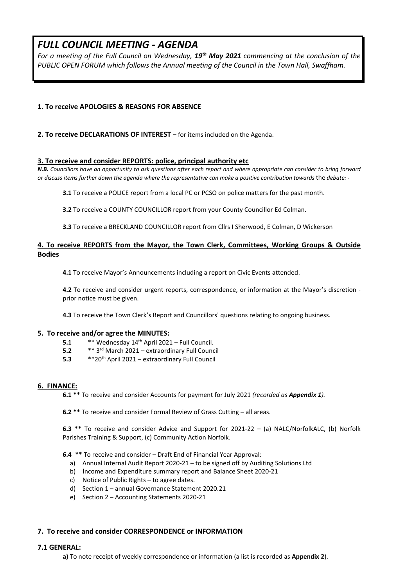## *FULL COUNCIL MEETING - AGENDA*

*For a meeting of the Full Council on Wednesday, 19th May 2021 commencing at the conclusion of the PUBLIC OPEN FORUM which follows the Annual meeting of the Council in the Town Hall, Swaffham.*

#### **1. To receive APOLOGIES & REASONS FOR ABSENCE**

#### **2. To receive DECLARATIONS OF INTEREST –** for items included on the Agenda.

#### **3. To receive and consider REPORTS: police, principal authority etc**

*N.B. Councillors have an opportunity to ask questions after each report and where appropriate can consider to bring forward or discuss items further down the agenda where the representative can make a positive contribution towards* the *debate: -*

**3.1** To receive a POLICE report from a local PC or PCSO on police matters for the past month.

**3.2** To receive a COUNTY COUNCILLOR report from your County Councillor Ed Colman.

**3.3** To receive a BRECKLAND COUNCILLOR report from Cllrs I Sherwood, E Colman, D Wickerson

#### **4. To receive REPORTS from the Mayor, the Town Clerk, Committees, Working Groups & Outside Bodies**

**4.1** To receive Mayor's Announcements including a report on Civic Events attended.

**4.2** To receive and consider urgent reports, correspondence, or information at the Mayor's discretion prior notice must be given.

**4.3** To receive the Town Clerk's Report and Councillors' questions relating to ongoing business.

#### **5. To receive and/or agree the MINUTES:**

- **5.1** \*\* Wednesday 14 th April 2021 Full Council.
- **5.2** \*\* 3 rd March 2021 extraordinary Full Council
- **5.3** \*\*20th April 2021 extraordinary Full Council

#### **6. FINANCE:**

**6.1 \*\*** To receive and consider Accounts for payment for July 2021 *(recorded as Appendix 1).*

**6.2 \*\*** To receive and consider Formal Review of Grass Cutting – all areas.

**6.3 \*\*** To receive and consider Advice and Support for 2021-22 – (a) NALC/NorfolkALC, (b) Norfolk Parishes Training & Support, (c) Community Action Norfolk.

**6.4 \*\*** To receive and consider – Draft End of Financial Year Approval:

- a) Annual Internal Audit Report 2020-21 to be signed off by Auditing Solutions Ltd
- b) Income and Expenditure summary report and Balance Sheet 2020-21
- c) Notice of Public Rights to agree dates.
- d) Section 1 annual Governance Statement 2020.21
- e) Section 2 Accounting Statements 2020-21

#### **7. To receive and consider CORRESPONDENCE or INFORMATION**

#### **7.1 GENERAL:**

**a)** To note receipt of weekly correspondence or information (a list is recorded as **Appendix 2**).